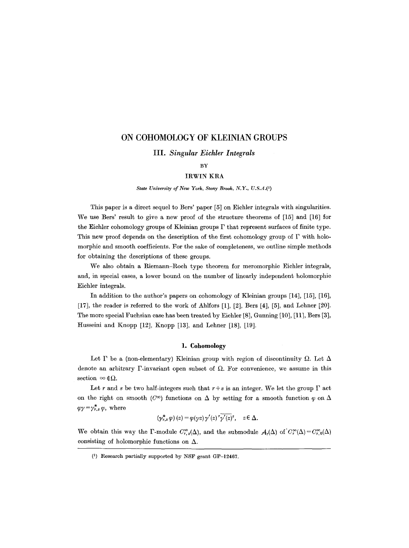# **ON COHOMOLOGY OF KLEINIAN GROUPS**

### **III.** *Singular Eichler Integrals*

#### BY

# **IRWIN** KRA

*State University of New York, Stony Brook, N.Y., U.S.A.Q)* 

This paper is a direct sequel to Bers' paper [5] on Eichler integrals with singularities. We use Bers' result to give a new proof of the structure theorems of [15] and [16] for the Eichler cohomology groups of Kleinian groups  $\Gamma$  that represent surfaces of finite type. This new proof depends on the description of the first cohomology group of  $\Gamma$  with holomorphic and smooth coefficients. For the sake of completeness, we outline simple methods for obtaining the descriptions of these groups.

We also obtain a Riemann-Roch type theorem for meromorphic Eichler integrals, and, in special eases, a lower bound on the number of linearly independent holomorphie Eichler integrals.

In addition to the author's papers on eohomology of Kleinian groups [14], [15], [16], [17], the reader is referred to the work of Ahlfors [1], [2], Bers [4], [5], and Lehner [20]. The more special Fuehsian ease has been treated by Eichler [8], Gunning [10], [11], Bers [3], Husseini and Knopp [12], Knopp [13], and Lehner [18], [19].

# 1. **Cohomology**

Let  $\Gamma$  be a (non-elementary) Kleinian group with region of discontinuity  $\Omega$ . Let  $\Delta$ denote an arbitrary  $\Gamma$ -invariant open subset of  $\Omega$ . For convenience, we assume in this section  $\infty \notin \Omega$ .

Let r and s be two half-integers such that  $r + s$  is an integer. We let the group  $\Gamma$  act on the right on smooth ( $C^{\infty}$ ) functions on  $\Delta$  by setting for a smooth function  $\varphi$  on  $\Delta$  $\varphi \gamma = \gamma_{r,s}^* \varphi$ , where

$$
(\gamma^*_{r,s}\varphi)(z) = \varphi(\gamma z)\gamma'(z)^r\gamma'(z)^s, \quad z \in \Delta.
$$

We obtain this way the F-module  $C_{r,s}^{\infty}(\Delta)$ , and the submodule  $\mathcal{A}_r(\Delta)$  of  $C_r^{\infty}(\Delta)=C_{r,0}^{\infty}(\Delta)$ consisting of holomorphic functions on  $\Delta$ .

<sup>(1)</sup> Research partially supported by NSF grant GP-12467.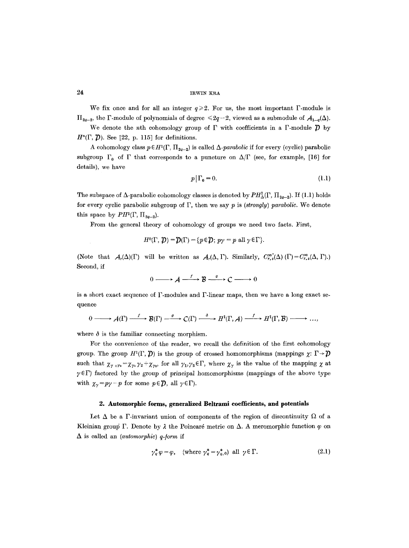We fix once and for all an integer  $q \ge 2$ . For us, the most important  $\Gamma$ -module is  $\Pi_{2q-2}$ , the F-module of polynomials of degree  $\leq 2q-2$ , viewed as a submodule of  $A_{1-q}(\Delta)$ .

We denote the nth cohomology group of  $\Gamma$  with coefficients in a  $\Gamma$ -module  $\mathcal{D}$  by  $H^{n}(\Gamma, \mathcal{D})$ . See [22, p. 115] for definitions.

A cohomology class  $p \in H^1(\Gamma, \Pi_{2q-2})$  is called  $\Delta$ -parabolic if for every (cyclic) parabolic subgroup  $\Gamma_0$  of  $\Gamma$  that corresponds to a puncture on  $\Delta/\Gamma$  (see, for example, [16] for details), we have

$$
p\big|\Gamma_0=0.\tag{1.1}
$$

The subspace of  $\Delta$ -parabolic cohomology classes is denoted by  $PH^1_{\Delta}(\Gamma, \Pi_{2q-2})$ . If (1.1) holds for every cyclic parabolic subgroup of F, then we say p is *(strongly) parabolic.* We denote this space by  $PH<sup>1</sup>(\Gamma, \Pi_{2q-2})$ .

From the general theory of cohomology of groups we need two facts. First,

$$
H^{0}(\Gamma, \mathcal{D}) = \mathcal{D}(\Gamma) = \{p \in \mathcal{D}; \, p\gamma = p \text{ all } \gamma \in \Gamma\}.
$$

(Note that  $A_r(\Delta)(\Gamma)$  will be written as  $A_r(\Delta, \Gamma)$ . Similarly,  $C_{r,s}^{\infty}(\Delta)$  ( $\Gamma$ ) =  $C_{r,s}^{\infty}(\Delta, \Gamma)$ .) Second, if

$$
0 \longrightarrow A \xrightarrow{f} B \xrightarrow{g} C \longrightarrow 0
$$

is a short exact sequence of  $\Gamma$ -modules and  $\Gamma$ -linear maps, then we have a long exact sequence

$$
0 \longrightarrow {\mathcal A}(\Gamma) \stackrel{f}{\longrightarrow} {\mathcal B}(\Gamma) \stackrel{g}{\longrightarrow} C(\Gamma) \stackrel{\delta}{\longrightarrow} H^1(\Gamma, {\mathcal A}) \stackrel{f}{\longrightarrow} H^1(\Gamma, {\mathcal B}) \longrightarrow \cdots
$$

where  $\delta$  is the familiar connecting morphism.

For the convenience of the reader, we recall the definition of the first cohomology group. The group  $H^{1}(\Gamma, \mathcal{D})$  is the group of crossed homomorphisms (mappings  $\chi: \Gamma \rightarrow \mathcal{D}$ such that  $\chi_{\gamma_0,\gamma_2} = \chi_{\gamma_1} \gamma_2 + \chi_{\gamma_2}$ , for all  $\gamma_1, \gamma_2 \in \Gamma$ , where  $\chi_{\gamma}$  is the value of the mapping  $\chi$  at  $\gamma \in \Gamma$ ) factored by the group of principal homomorphisms (mappings of the above type with  $\chi_{\gamma} = p\gamma - p$  for some  $p \in \mathcal{D}$ , all  $\gamma \in \Gamma$ ).

# **2. Automorphic forms, generalized Beltrami coefficients, and potentials**

Let  $\Delta$  be a  $\Gamma$ -invariant union of components of the region of discontinuity  $\Omega$  of a Kleinian group  $\Gamma$ . Denote by  $\lambda$  the Poincaré metric on  $\Delta$ . A meromorphic function  $\varphi$  on  $\Delta$  is called an *(automorphic) q-form* if

$$
\gamma_q^* \varphi = \varphi, \quad \text{(where } \gamma_q^* = \gamma_{q,0}^* \text{) all } \gamma \in \Gamma. \tag{2.1}
$$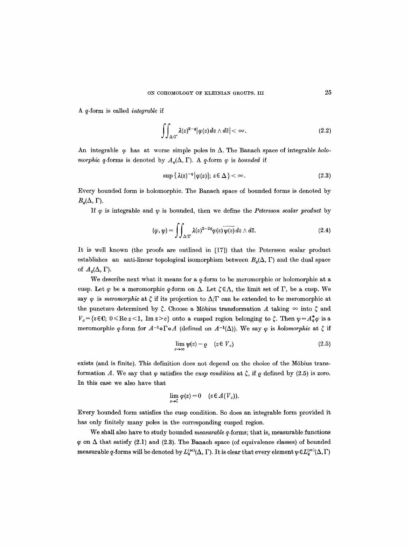A q-form is called *integrable* if

$$
\iint_{\Delta/\Gamma} \lambda(z)^{2-q} |\varphi(z)| dz \wedge d\bar{z}| < \infty.
$$
 (2.2)

An integrable  $\varphi$  has at worse simple poles in  $\Delta$ . The Banach space of integrable *holomorphic q*-forms is denoted by  $A_q(\Delta, \Gamma)$ . A q-form  $\varphi$  is *bounded* if

$$
\sup \{ \lambda(z)^{-a} | \varphi(z) |; \, z \in \Delta \} < \infty. \tag{2.3}
$$

Every bounded form is holomorphic. The Banach space of bounded forms is denoted by  $B_q(\Delta, \Gamma)$ .

If  $\varphi$  is integrable and  $\psi$  is bounded, then we define the *Petersson scalar product* by

$$
(\varphi,\psi)=\iint_{\Delta/\Gamma}\lambda(z)^{2-2q}\varphi(z)\,\overline{\psi(z)}\,dz\wedge d\bar{z}.\tag{2.4}
$$

It is well known (the proofs are outlined in [17]) that the Petersson scalar product establishes an anti-linear topological isomorphism between  $B_q(\Delta, \Gamma)$  and the dual space of  $A_q(\Delta, \Gamma)$ .

We describe next what it means for a q-form to be meromorphic or holomorphic at a cusp. Let  $\varphi$  be a meromorphic  $q$ -form on  $\Delta$ . Let  $\zeta \in \Lambda$ , the limit set of  $\Gamma$ , be a cusp. We say  $\varphi$  is *meromorphic* at  $\zeta$  if its projection to  $\Delta/\Gamma$  can be extended to be meromorphic at the puncture determined by  $\zeta$ . Choose a Möbius transformation A taking  $\infty$  into  $\zeta$  and  $V_c = \{z \in \mathbb{C}; 0 \leq R \leq z \leq 1, \text{ Im } z > c\}$  onto a cusped region belonging to  $\zeta$ . Then  $\psi = A_q^* \varphi$  is a meromorphic q-form for  $A^{-1} \circ \Gamma \circ A$  (defined on  $A^{-1}(\Delta)$ ). We say  $\varphi$  is *holomorphic* at  $\zeta$  if

$$
\lim_{z \to \infty} \psi(z) = \varrho \quad (z \in V_c) \tag{2.5}
$$

exists (and is finite). This definition does not depend on the choice of the Möbius transformation A. We say that  $\varphi$  satisfies the *cusp condition* at  $\zeta$ , if  $\varrho$  defined by (2.5) is zero. In this case we also have that

$$
\lim_{z\to \zeta}\varphi(z)=0\quad(z\in A(V_c)).
$$

Every bounded form satisfies the cusp condition. So does an integrable form provided it has only finitely many poles in the corresponding eusped region.

We shall also have to study bounded *measurable* q-forms; that is, measurable functions  $\varphi$  on  $\Delta$  that satisfy (2.1) and (2.3). The Banach space (of equivalence classes) of bounded measurable q-forms will be denoted by  $L_q^{\infty}(\Delta, \Gamma)$ . It is clear that every element  $\psi \in L_q^{\infty}(\Delta, \Gamma)$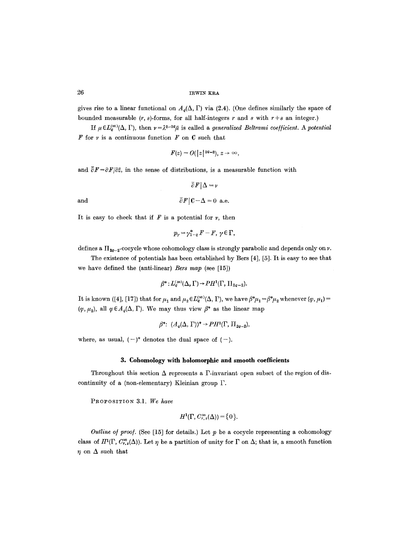gives rise to a linear functional on  $A_{\sigma}(\Delta, \Gamma)$  via (2.4). (One defines similarly the space of bounded measurable  $(r, s)$ -forms, for all half-integers  $r$  and  $s$  with  $r+s$  an integer.)

If  $\mu \in L^{\infty}_{q}(\Delta, \Gamma)$ , then  $\nu = \lambda^{2-2q}\bar{\mu}$  is called a *generalized Beltrami coefficient.* A potential  $F$  for  $\nu$  is a continuous function  $F$  on  $C$  such that

$$
F(z) = O(|z|^{2q-2}), z \to \infty,
$$

and  $\overline{\partial} F = \partial F/\partial \overline{z}$ , in the sense of distributions, is a measurable function with

 $\overline{\partial} F|\Delta = \nu$ and  $\overline{\partial} F |C-\Delta = 0$  a.e.

It is easy to check that if  $F$  is a potential for  $\nu$ , then

$$
p_{\gamma} = \gamma_{1-q}^* F - F, \ \gamma \in \Gamma,
$$

defines a  $\Pi_{2q-2}$ -cocycle whose cohomology class is strongly parabolic and depends only on v.

The existence of potentials has been established by Bers [4], [5]. It is easy to see that we have defined the (anti-linear) *Bers map* (see [15])

$$
\beta^*: L_q^{(\infty)}(\Delta, \Gamma) \to PH^1(\Gamma, \Pi_{2q-2}).
$$

It is known ([4], [17]) that for  $\mu_1$  and  $\mu_2 \in L_q^{(\infty)}(\Delta, \Gamma)$ , we have  $\beta^*\mu_1 = \beta^*\mu_2$  whenever  $(\varphi, \mu_1) =$  $(\varphi, \mu_2)$ , all  $\varphi \in A_q(\Delta, \Gamma)$ . We may thus view  $\beta^*$  as the linear map

$$
\beta^*: (A_q(\Delta, \Gamma))^* \to PH^1(\Gamma, \Pi_{2q-2}),
$$

where, as usual,  $(-)^*$  denotes the dual space of  $(-)$ .

### **3. Cohomology with holomorphic and smooth coefficients**

Throughout this section  $\Delta$  represents a  $\Gamma$ -invariant open subset of the region of discontinuity of a (non-elementary) Kleinian group P.

PROPOSITION 3.1. We have

$$
H^1(\Gamma, C_{r,s}^\infty(\Delta)) = \{0\}.
$$

*Outline of proof.* (See [15] for details.) Let  $p$  be a cocycle representing a cohomology class of  $H^1(\Gamma, C^{\infty}_{r,s}(\Delta))$ . Let  $\eta$  be a partition of unity for  $\Gamma$  on  $\Delta$ ; that is, a smooth function  $\eta$  on  $\Delta$  such that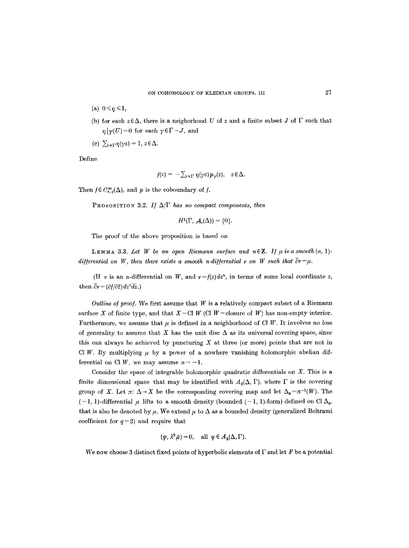- (a)  $0 \leq \eta \leq 1$ ,
- (b) for each  $z \in \Delta$ , there is a neigborhood U of z and a finite subset J of  $\Gamma$  such that  $\eta | \gamma(U)=0$  for each  $\gamma \in \Gamma - J$ , and
- (c)  $\sum_{\nu \in \Gamma} \eta(\gamma z) = 1, z \in \Delta.$

Define

$$
f(z) = -\sum_{\gamma \in \Gamma} \eta(\gamma z) p_{\gamma}(z), \quad z \in \Delta.
$$

Then  $f \in C^{\infty}_{r,s}(\Delta)$ , and p is the coboundary of f.

PROSOSITION 3.2. *If*  $\Delta/\Gamma$  *has no compact components, then* 

$$
H^1(\Gamma, \mathcal{A}_r(\Delta)) = \{0\}.
$$

The proof of the above proposition is based on

**LEMMA** 3.3. Let W be an open Riemann surface and  $n \in \mathbb{Z}$ . If  $\mu$  is a smooth  $(n, 1)$ *differential on W, then there exists a smooth n-differential v on W such that*  $\partial v = \mu$ .

(If v is an *n*-differential on W, and  $\nu = f(z)dz^n$ , in terms of some local coordinate z, then  $\overline{\partial} v = (\partial f / \partial \overline{z}) dz^n \overline{dz}$ .)

*Outline of proof.* We first assume that  $W$  is a relatively compact subset of a Riemann surface X of finite type, and that  $X-\text{Cl } W$  (Cl  $W =$  closure of W) has non-empty interior. Furthermore, we assume that  $\mu$  is defined in a neighborhood of Cl W. It involves no loss of generality to assume that X has the unit disc  $\Delta$  as its universal covering space, since this can always be achieved by puncturing  $X$  at three (or more) points that are not in Cl W. By multiplying  $\mu$  by a power of a nowhere vanishing holomorphic abelian differential on Cl *W*, we may assume  $n = -1$ .

Consider the space of integrable holomorphic quadratic differentials on  $X$ . This is a finite dimensional space that may be identified with  $A_2(\Delta, \Gamma)$ , where  $\Gamma$  is the covering group of X. Let  $\pi: \Delta \to X$  be the corresponding covering map and let  $\Delta_0 = \pi^{-1}(W)$ . The  $(-1, 1)$ -differential  $\mu$  lifts to a smooth density (bounded  $(-1, 1)$ -form) defined on Cl  $\Delta_0$ , that is also be denoted by  $\mu$ . We extend  $\mu$  to  $\Delta$  as a bounded density (generalized Beltrami coefficient for  $q=2$ ) and require that

$$
(\varphi, \lambda^2 \bar{\mu}) = 0
$$
, all  $\varphi \in A_2(\Delta, \Gamma)$ .

We now choose 3 distinct fixed points of hyperbolic elements of  $\Gamma$  and let F be a potential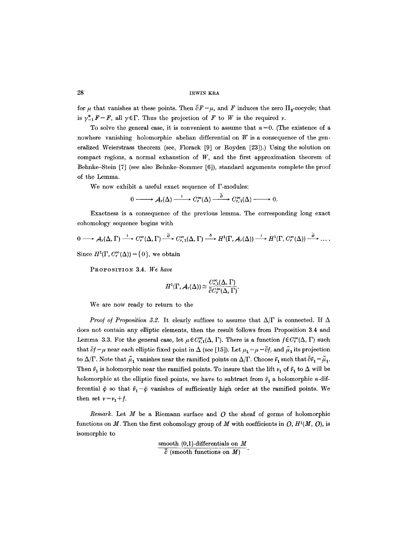for  $\mu$  that vanishes at these points. Then  $\bar{\partial}F = \mu$ , and F induces the zero  $\Pi_{2}$ -cocycle; that is  $\gamma_{-1}^*F=F$ , all  $\gamma \in \Gamma$ . Thus the projection of F to W is the required v.

To solve the general case, it is convenient to assume that  $n=0$ . (The existence of a nowhere vanishing holomorphic abelian differential on  $W$  is a consequence of the generalized Weierstrass theorem (see, Florack [9] or Royden [23]).) Using the solution on compact regions, a normal exhaustion of  $W$ , and the first approximation theorem of Behnke-Stein [7] (see also Behnke-Sommer [6]), standard arguments complete the proof of the Lemma.

We now exhibit a useful exact sequence of F-modules:

$$
0 \longrightarrow \mathcal{A}_r(\Delta) \xrightarrow{i} C_r^{\infty}(\Delta) \xrightarrow{\partial} C_{r,1}^{\infty}(\Delta) \longrightarrow 0.
$$

Exactness is a consequence of the previous lemma. The corresponding long exact cohomology sequence begins with

$$
0 \longrightarrow A_r(\Delta,\Gamma) \stackrel{i}{\longrightarrow} C_r^{\infty}(\Delta,\Gamma) \stackrel{\overline{\partial}}{\longrightarrow} C_{r,1}^{\infty}(\Delta,\Gamma) \stackrel{\delta}{\longrightarrow} H^1(\Gamma,A_r(\Delta)) \stackrel{i}{\longrightarrow} H^1(\Gamma,C_r^{\infty}(\Delta)) \stackrel{\overline{\partial}}{\longrightarrow} \ldots
$$

Since  $H^1(\Gamma, C_r^{\infty}(\Delta)) = \{0\}$ , we obtain

PROPOSITION 3.4. We have

$$
H^1(\Gamma, \mathcal{A}_r(\Delta)) \cong \frac{C^{\infty}_{r,1}(\Delta, \Gamma)}{\overline{\partial} C^{\infty}_r(\Delta, \Gamma)}.
$$

We are now ready to return to the

*Proof of Proposition 3.2.* It clearly suffices to assume that  $\Delta/\Gamma$  is connected. If  $\Delta$ does not contain any elliptic elements, then the result follows from Proposition 3.4 and Lemma 3.3. For the general case, let  $\mu \in C^{\infty}_{r,1}(\Delta, \Gamma)$ . There is a function  $f \in C^{\infty}_r(\Delta, \Gamma)$  such that  $\overline{\partial} f = \mu$  near each elliptic fixed point in  $\Delta$  (see [15]). Let  $\mu_1 = \mu - \overline{\partial} f$ , and  $\mu \overline{\mu}$  its projection to  $\Delta/\Gamma$ . Note that  $\tilde{\mu}_1$  vanishes near the ramified points on  $\Delta/\Gamma$ . Choose  $\tilde{r}_1$  such that  $\bar{\partial}\tilde{r}_1 = \tilde{\mu}_1$ . Then  $\tilde{v}_1$  is holomorphic near the ramified points. To insure that the lift  $v_1$  of  $\tilde{v}_1$  to  $\Delta$  will be holomorphic at the elliptic fixed points, we have to subtract from  $\tilde{r}_1$  a holomorphic n-differential  $\tilde{\varphi}$  so that  $\tilde{\nu}_1-\tilde{\varphi}$  vanishes of sufficiently high order at the ramified points. We then set  $v = v_1 + f$ .

*Remark.* Let  $M$  be a Riemann surface and  $O$  the sheaf of germs of holomorphic functions on M. Then the first cohomology group of M with coefficients in  $O, H<sup>1</sup>(M, O)$ , is isomorphic to

> smooth  $(0,1)$ -differentials on M  $\overline{\partial}$  (smooth functions on M)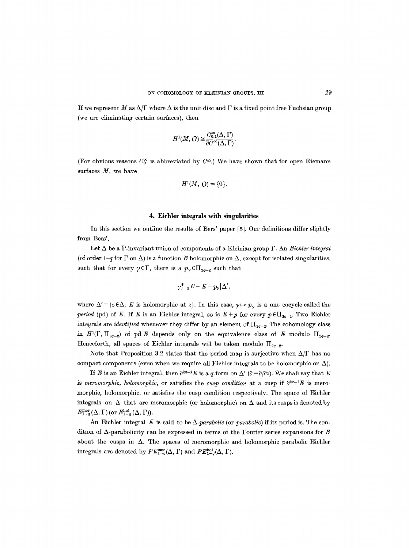If we represent M as  $\Delta/\Gamma$  where  $\Delta$  is the unit disc and  $\Gamma$  is a fixed point free Fuchsian group (we are eliminating certain surfaces), then

$$
H^1(M,\mathcal{O})\cong \frac{C^\infty_{0,1}(\Delta,\Gamma)}{\bar\partial C^\infty(\Delta,\Gamma)}.
$$

(For obvious reasons  $C_0^{\infty}$  is abbreviated by  $C^{\infty}$ .) We have shown that for open Riemann surfaces  $M$ , we have

$$
H^1(M, O) = \{0\}.
$$

### **4. Eiehler integrals with singularities**

In this section we outline the results of Bers' paper [5]. Our definitions differ slightly from Bers'.

Let A be a P-invariant union of components of a Kleinian group F. An *Eichler integral*  (of order  $1-q$  for  $\Gamma$  on  $\Delta$ ) is a function E holomorphic on  $\Delta$ , except for isolated singularities, such that for every  $\gamma \in \Gamma$ , there is a  $p_{\gamma} \in \Pi_{2q-2}$  such that

$$
\gamma^*_{1-q}E-E=p_\gamma|\Delta',
$$

where  $\Delta' = \{z \in \Delta; E$  is holomorphic at z.f. In this case,  $\gamma \mapsto p_{\gamma}$  is a one cocycle called the *period* (pd) of E. If E is an Eichler integral, so is  $E+p$  for every  $p \in \prod_{2q-2}$ . Two Eichler integrals are *identified* whenever they differ by an element of  $\Pi_{2q-2}$ . The cohomology class in  $H^1(\Gamma, \Pi_{2q-2})$  of pd E depends only on the equivalence class of E modulo  $\Pi_{2q-2}$ . Henceforth, all spaces of Eichler integrals will be taken modulo  $\Pi_{2a-2}$ .

Note that Proposition 3.2 states that the period map is surjective when  $\Delta/\Gamma$  has no compact components (even when we require all Eichler integrals to be holomorphic on  $\Delta$ ).

If E is an Eichler integral, then  $\partial^{2q-1}E$  is a q-form on  $\Delta'$  ( $\partial = \partial/\partial z$ ). We shall say that E is *meromorphic, holomorphic,* or satisfies the *cusp condition* at a cusp if  $\partial^{2q-1}E$  is meromorphic, holomorphic, or satisfies the cusp condition respectively. The space of Eichler integrals on  $\Delta$  that are meromorphic (or holomorphic) on  $\Delta$  and its cusps is denoted by  $E_{1-q}^{\text{mer}}(\Delta, \Gamma)$  (or  $E_{1-q}^{\text{hol}}(\Delta, \Gamma)$ ).

An Eichler integral  $E$  is said to be  $\Delta$ -*parabolic* (or *parabolic*) if its period is. The condition of  $\Delta$ -parabolicity can be expressed in terms of the Fourier series expansions for E about the cusps in  $\Delta$ . The spaces of meromorphic and holomorphic parabolic Eichler integrals are denoted by  $PE_{1-q}^{\text{mer}}(\Delta, \Gamma)$  and  $PE_{1-q}^{\text{hol}}(\Delta, \Gamma)$ .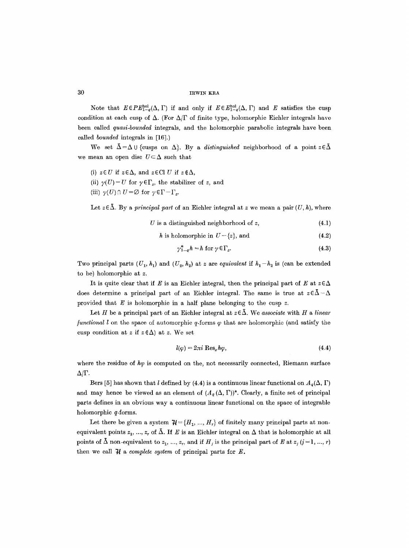Note that  $E \in PE_{1-q}^{\text{hol}}(\Delta, \Gamma)$  if and only if  $E \in E_{1-q}^{\text{hol}}(\Delta, \Gamma)$  and E satisfies the cusp condition at each cusp of  $\Delta$ . (For  $\Delta/\Gamma$  of finite type, holomorphic Eichler integrals have been called *quasi-bounded* integrals, and the holomorphic parabolic integrals have been called *bounded* integrals in [16].)

We set  $\bar{\Delta}=\Delta\cup\{cusps$  on  $\Delta\}$ . By a *distinguished* neighborhood of a point  $z\in\bar{\Delta}$ we mean an open disc  $U \subseteq \Delta$  such that

(i)  $z \in U$  if  $z \in \Delta$ , and  $z \in Cl$  *U* if  $z \notin \Delta$ , (ii)  $\gamma(U) = U$  for  $\gamma \in \Gamma_z$ , the stabilizer of z, and (iii)  $\gamma(U) \cap U = \emptyset$  for  $\gamma \in \Gamma - \Gamma_z$ .

Let  $z \in \overline{\Delta}$ . By a *principal part* of an Eichler integral at z we mean a pair  $(U, h)$ , where

$$
U \t{ is a distinguished neighborhood of } z,
$$
\n
$$
(4.1)
$$

$$
h \text{ is holomorphic in } U - \{z\}, \text{ and } \tag{4.2}
$$

$$
\gamma_{1-q}^* h = h \text{ for } \gamma \in \Gamma_z. \tag{4.3}
$$

Two principal parts  $(U_1, h_1)$  and  $(U_2, h_2)$  at z are *equivalent* if  $h_1-h_2$  is (can be extended to be) holomorphic at z.

It is quite clear that if E is an Eichler integral, then the principal part of E at  $z \in \Delta$ does determine a principal part of an Eichler integral. The same is true at  $z \in \bar{\Delta} - \Delta$ provided that  $E$  is holomorphic in a half plane belonging to the cusp  $z$ .

Let H be a principal part of an Eichler integral at  $z \in \overline{\Delta}$ . We *associate* with H a linear *functional l* on the space of automorphic  $q$ -forms  $\varphi$  that are holomorphic (and satisfy the cusp condition at z if  $z \notin \Delta$ ) at z. We set

$$
l(\varphi) = 2\pi i \operatorname{Res}_z h\varphi, \tag{4.4}
$$

where the residue of  $h\varphi$  is computed on the, not necessarily connected, Riemann surface  $\Delta/\Gamma$ .

Bers [5] has shown that l defined by (4.4) is a continuous linear functional on  $A_q(\Delta, \Gamma)$ and may hence be viewed as an element of  $(A_q(\Delta, \Gamma))^*$ . Clearly, a finite set of principal parts defines in an obvious way a continuous hnear functional on the space of integrable holomorphic q-forms.

Let there be given a system  $\mathcal{H} = \{H_1, ..., H_r\}$  of finitely many principal parts at nonequivalent points  $z_1, ..., z_r$  of  $\bar{\Delta}$ . If E is an Eichler integral on  $\Delta$  that is holomorphic at all points of  $\bar{\Delta}$  non-equivalent to  $z_1, ..., z_r$ , and if  $H_i$  is the principal part of E at  $z_i$   $(j=1, ..., r)$ then we call  $H$  a *complete system* of principal parts for  $E$ .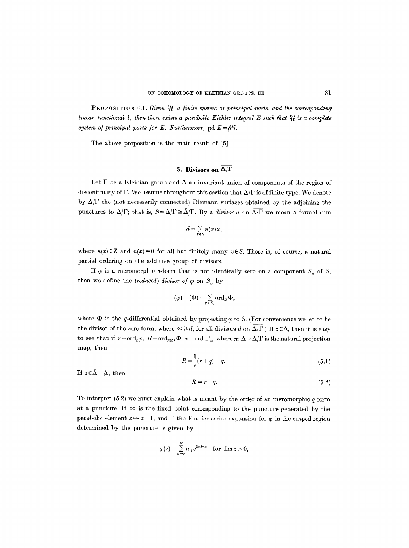PROPOSITION 4.1. *Given*  $\mathcal{H}$ , a finite system of principal parts, and the corresponding *linear functional l, then there exists a parabolic Eichler integral E such that*  $\mathcal{H}$  is a complete *system of principal parts for E. Furthermore, pd*  $E = \beta^* l$ *.* 

The above proposition is the main result of [5].

# **5. Divisors on**  $\overline{\Delta/\Gamma}$

Let  $\Gamma$  be a Kleinian group and  $\Delta$  an invariant union of components of the region of discontinuity of  $\Gamma$ . We assume throughout this section that  $\Delta/\Gamma$  is of finite type. We denote by  $\overline{\Delta/\Gamma}$  the (not necessarily connected) Riemann surfaces obtained by the adjoining the punctures to  $\Delta/\Gamma$ ; that is,  $S=\overline{\Delta/\Gamma}\cong\overline{\Delta}/\Gamma$ . By a *divisor d* on  $\overline{\Delta/\Gamma}$  we mean a formal sum

$$
d=\sum_{x\in S}n(x)\,x,
$$

where  $n(x) \in \mathbb{Z}$  and  $n(x)=0$  for all but finitely many  $x \in S$ . There is, of course, a natural partial ordering on the additive group of divisors.

If  $\varphi$  is a meromorphic q-form that is not identically zero on a component  $S_{\alpha}$  of S, then we define the *(reduced) divisor of*  $\varphi$  on  $S_{\circ}$  by

$$
(\varphi)=(\Phi)=\sum_{x\,\in S_o}\operatorname{ord}_x\Phi,
$$

where  $\Phi$  is the q-differential obtained by projecting  $\varphi$  to S. (For convenience we let  $\infty$  be the divisor of the zero form, where  $\infty \ge d$ , for all divisors d on  $\overline{\Delta/\Gamma}$ .) If  $z \in \Delta$ , then it is easy to see that if  $r = \text{ord}_z \varphi$ ,  $R = \text{ord}_{\pi(z)} \Phi$ ,  $\nu = \text{ord } \Gamma_z$ , where  $\pi: \Delta \to \Delta/\Gamma$  is the natural projection map, then

$$
R = \frac{1}{\nu}(r+q) - q. \tag{5.1}
$$

If  $z \in \bar{\Delta} - \Delta$ , then

$$
R = r - q.\tag{5.2}
$$

To interpret  $(5.2)$  we must explain what is meant by the order of an meromorphic q-form at a puncture. If  $\infty$  is the fixed point corresponding to the puncture generated by the parabolic element  $z \mapsto z+1$ , and if the Fourier series expansion for  $\varphi$  in the cusped region determined by the puncture is given by

$$
\varphi(z) = \sum_{n=r}^{\infty} a_n e^{2\pi i nz} \text{ for } \text{Im } z > 0,
$$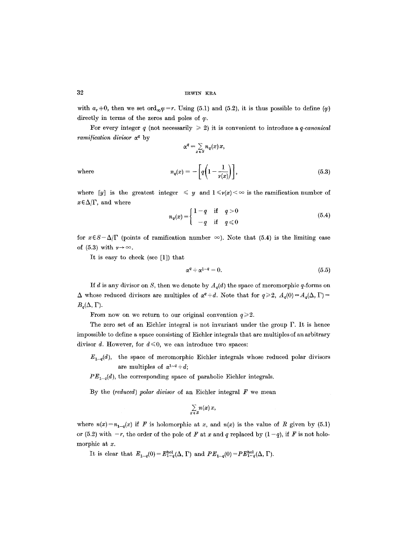with  $a_r=0$ , then we set ord<sub> $\infty \varphi =r$ </sub>. Using (5.1) and (5.2), it is thus possible to define ( $\varphi$ ) directly in terms of the zeros and poles of  $\varphi$ .

For every integer q (not necessarily  $\geq 2$ ) it is convenient to introduce a q-canonical *ramification divisor*  $\alpha^q$  by

where  
\n
$$
\alpha^{q} = \sum_{x \in S} n_{q}(x) x,
$$
\n
$$
n_{q}(x) = -\left[q\left(1 - \frac{1}{p(x)}\right)\right],
$$
\n(5.3)

where [y] is the greatest integer  $\leq y$  and  $1 \leq v(x) < \infty$  is the ramification number of  $x \in \Delta/\Gamma$ , and where

$$
n_q(x) = \begin{cases} 1-q & \text{if } q > 0 \\ -q & \text{if } q \le 0 \end{cases}
$$
 (5.4)

for  $x \in S - \Delta/\Gamma$  (points of ramification number  $\infty$ ). Note that (5.4) is the limiting case of (5.3) with  $\nu \rightarrow \infty$ .

It is easy to check (see [1]) that

$$
\alpha^q + \alpha^{1-q} = 0. \tag{5.5}
$$

If d is any divisor on S, then we denote by  $A_q(d)$  the space of meromorphic q-forms on  $\Delta$  whose reduced divisors are multiples of  $\alpha^{q} + d$ . Note that for  $q \geq 2$ ,  $A_q(0) = A_q(\Delta, \Gamma)$  $B_q(\Delta, \Gamma)$ .

From now on we return to our original convention  $q \geq 2$ .

The zero set of an Eichler integral is not invariant under the group  $\Gamma$ . It is hence impossible to define a space consisting of Eichler integrals that are multiples of an arbitrary divisor d. However, for  $d \leq 0$ , we can introduce two spaces:

 $E_{1-q}(d)$ , the space of meromorphic Eichler integrals whose reduced polar divisors are multiples of  $\alpha^{1-q} + d$ ;

 $PE_{1-q}(d)$ , the corresponding space of parabolic Eichler integrals.

By the *(reduced) polar divisor* of an Eichler integral F we mean

$$
\sum_{x\,\in\,S} n(x)\,x,
$$

where  $n(x)=n_{1-q}(x)$  if F is holomorphic at x, and  $n(x)$  is the value of R given by (5.1) or (5.2) with  $-r$ , the order of the pole of F at x and q replaced by  $(1-q)$ , if F is not holomorphic at x.

It is clear that  $E_{1-q}(0)=E_{1-q}^{hol}(\Delta, \Gamma)$  and  $PE_{1-q}(0)=PE_{1-q}^{hol}(\Delta, \Gamma).$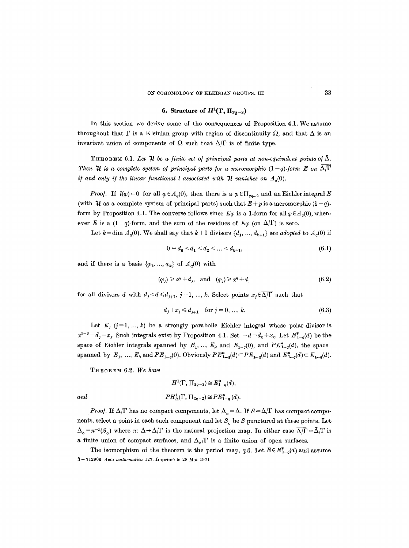## **6. Structure of**  $H^1(\Gamma, \Pi_{2q-2})$

In this section we derive some of the consequences of Proposition 4.1. We assume throughout that  $\Gamma$  is a Kleinian group with region of discontinuity  $\Omega$ , and that  $\Delta$  is an invariant union of components of  $\Omega$  such that  $\Delta/\Gamma$  is of finite type.

THEOREM 6.1. Let  $\mathcal H$  be a finite set of principal parts at non-equivalent points of  $\tilde \Delta$ . *Then*  $\mathcal{H}$  is a complete system of principal parts for a meromorphic  $(1-q)$ -form E on  $\overline{\Delta/\Gamma}$ *if and only if the linear functional l associated with*  $\mathcal{H}$  vanishes on  $A_q(0)$ .

*Proof.* If  $l(\varphi) = 0$  for all  $\varphi \in A_q(0)$ , then there is a  $p \in \prod_{2q-2}$  and an Eichler integral E (with  $\mathcal H$  as a complete system of principal parts) such that  $E + p$  is a meromorphic  $(1 - q)$ form by Proposition 4.1. The converse follows since  $E_{\varphi}$  is a 1-form for all  $\varphi \in A_{\alpha}(0)$ , whenever E is a  $(1-q)$ -form, and the sum of the residues of  $E\varphi$  (on  $\overline{\Delta/\Gamma}$ ) is zero.

Let  $k = \dim A_q(0)$ . We shall say that  $k + 1$  divisors  $\{d_1, ..., d_{k+1}\}$  are *adopted* to  $A_q(0)$  if

$$
0 = d_0 < d_1 < d_2 < \dots < d_{k+1},\tag{6.1}
$$

and if there is a basis  $\{\varphi_1, ..., \varphi_k\}$  of  $A_q(0)$  with

$$
(\varphi_i) \geq \alpha^q + d_i, \quad \text{and} \quad (\varphi_i) \geq \alpha^q + d,\tag{6.2}
$$

for all divisors d with  $d_j < d \le d_{j+1}, j=1, ..., k$ . Select points  $x_j \in \overline{\Delta/\Gamma}$  such that

$$
d_j + x_j \le d_{j+1} \quad \text{for } j = 0, \dots, k. \tag{6.3}
$$

Let  $E_j$  (j=1, ..., k) be a strongly parabolic Eichler integral whose polar divisor is  $\alpha^{1-q}-d_j-x_j$ . Such integrals exist by Proposition 4.1. Set  $-d=d_k+x_k$ . Let  $E^*_{1-q}(d)$  be the space of Eichler integrals spanned by  $E_1, ..., E_k$  and  $E_{1-q}(0)$ , and  $PE_{1-q}^*(d)$ , the space spanned by  $E_1, ..., E_k$  and  $PE_{1-q}(0)$ . Obviously  $PE_{1-q}^*(d) \subset PE_{1-q}(d)$  and  $E_{1-q}^*(d) \subset E_{1-q}(d)$ .

THEOREM 6.2. We have

$$
H^1(\Gamma, \Pi_{2q-2}) \cong E_{1-q}^*(d),
$$
  
and  

$$
PH^1_{\Delta}(\Gamma, \Pi_{2q-2}) \cong PE_{1-q}^*(d).
$$

*Proof.* If  $\Delta/\Gamma$  has no compact components, let  $\Delta_{\alpha} = \Delta$ . If  $S = \Delta/\Gamma$  has compact components, select a point in each such component and let  $S_0$  be S punctured at these points. Let  $\Delta_{\alpha} = \pi^{-1}(S_{\alpha})$  where  $\pi: \Delta \to \Delta/\Gamma$  is the natural projection map. In either case  $\overline{\Delta/\Gamma} = \overline{\Delta}/\Gamma$  is a finite union of compact surfaces, and  $\Delta_{\alpha}/\Gamma$  is a finite union of open surfaces.

The isomorphism of the theorem is the period map, pd. Let  $E \in E_{1-q}^*(d)$  and assume 3-- 712906 *Acta mathematica* 127. Imprim6 le 28 Mai 1971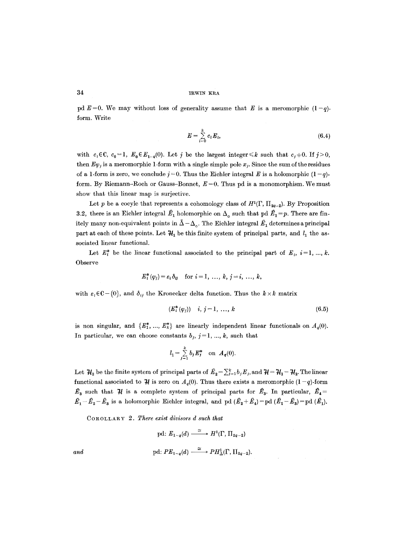pd  $E=0$ . We may without loss of generality assume that E is a meromorphic  $(1-q)$ form. Write

$$
E = \sum_{i=0}^{k} c_i E_i, \tag{6.4}
$$

with  $c_i \in \mathbb{C}$ ,  $c_0=1$ ,  $E_0 \in E_{1-q}(0)$ . Let j be the largest integer  $\leq k$  such that  $c_i \neq 0$ . If  $j \geq 0$ , then  $E\varphi_j$  is a meromorphic 1-form with a single simple pole  $x_j$ . Since the sum of the residues of a 1-form is zero, we conclude  $j = 0$ . Thus the Eichler integral E is a holomorphic  $(1 - q)$ form. By Riemann-Roch or Gauss-Bonnet,  $E=0$ . Thus pd is a monomorphism. We must show that this linear map is surjective.

Let p be a cocyle that represents a cohomology class of  $H^1(\Gamma, \Pi_{2q-2})$ . By Proposition 3.2, there is an Eichler integral  $\hat{E}_1$  holomorphic on  $\Delta_{\circ}$  such that pd  $\hat{E}_1 = p$ . There are finitely many non-equivalent points in  $\bar{\Delta} - \Delta_{\alpha}$ . The Eichler integral  $\hat{E}_1$  determines a principal part at each of these points. Let  $H_1$  be this finite system of principal parts, and  $l_1$  the associated linear functional.

Let  $E^*_i$  be the linear functional associated to the principal part of  $E_i$ ,  $i=1, ..., k$ . Observe

$$
E_i^*(\varphi_j) = \varepsilon_i \, \delta_{ij} \quad \text{for } i = 1, \ldots, k, j = i, \ldots, k,
$$

with  $\varepsilon_i \in \mathbb{C} - \{0\}$ , and  $\delta_{ij}$  the Kronecker delta function. Thus the  $k \times k$  matrix

$$
(E_i^*(\varphi_j)) \quad i, j = 1, \ldots, k \tag{6.5}
$$

is non singular, and  $\{E^*_1, ..., E^*_k\}$  are linearly independent linear functionals on  $A_q(0)$ . In particular, we can choose constants  $b_j$ ,  $j=1, ..., k$ , such that

$$
l_1 = \sum_{j=1}^k b_j E_j^*
$$
 on  $A_q(0)$ .

Let  $\mathcal{H}_2$  be the finite system of principal parts of  $\hat{E}_2 = \sum_{j=1}^k b_j E_j$ , and  $\mathcal{H} = \mathcal{H}_1 - \mathcal{H}_2$ . The linear functional associated to  $\mathcal{H}$  is zero on  $A_q(0)$ . Thus there exists a meromorphic  $(1-q)$ -form  $\hat{E}_3$  such that  $\hat{\mathcal{H}}$  is a complete system of principal parts for  $\hat{E}_3$ . In particular,  $\hat{E}_4=$  $\hat{E}_1-\hat{E}_2-\hat{E}_3$  is a holomorphic Eichler integral, and pd  $(\hat{E}_2+\hat{E}_4)=$  pd  $(\hat{E}_1-\hat{E}_3)=$  pd  $(\hat{E}_1)$ .

COROLLARY 2. There exist divisors d such that

$$
\text{pd: } E_{1-q}(d) \xrightarrow{\simeq} H^1(\Gamma, \Pi_{2q-2})
$$
  
and  

$$
\text{pd: } PE_{1-q}(d) \xrightarrow{\simeq} PH^1_{\Delta}(\Gamma, \Pi_{2q-2}).
$$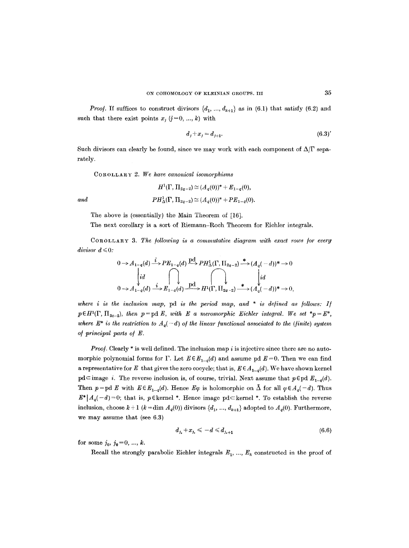*Proof.* If suffices to construct divisors  $\{d_1, ..., d_{k+1}\}\$ as in (6.1) that satisfy (6.2) and such that there exist points  $x_i$  (j=0, ..., k) with

$$
d_j + x_j = d_{j+1}.\tag{6.3'}
$$

Such divisors can clearly be found, since we may work with each component of  $\Delta/\Gamma$  separately.

COROLLARY 2. *We have canonical isomorphisms* 

$$
H^{1}(\Gamma, \Pi_{2q-2}) \simeq (A_{q}(0))^{*} + E_{1-q}(0),
$$
  

$$
PH^{1}_{\Delta}(\Gamma, \Pi_{2q-2}) \simeq (A_{q}(0))^{*} + PE_{1-q}(0).
$$

*and* 

The above is (essentially) the Main Theorem of [16].

The next corollary is a sort of Riemann-Roch Theorem for Eichler integrals.

COROLLARY 3. *The /ollowing is a commutative diagram with exact rows /or every*   $divisor \, d \leq 0$ :

$$
0 \to A_{1-q}(d) \xrightarrow{i} PE_{1-q}(d) \xrightarrow{\text{pH}_{\Delta}} PH_{\Delta}^1(\Gamma, \Pi_{2q-2}) \xrightarrow{\text{*}} (A_q(-d))^* \to 0
$$
  
\n
$$
\begin{cases}\nid \\
id \\
0 \to A_{1-q}(d) \xrightarrow{i} E_{1-q}(d) \xrightarrow{\text{pH}_{\Delta}} H^1(\Gamma, \Pi_{2q-2}) \xrightarrow{\text{*}} (A_q(-d))^* \to 0,\n\end{cases}
$$

*where i is the inclusion map,* pd *is the period map, and \* is defined as /ollows: I/*   $p\in H^1(\Gamma, \Pi_{2q-2}),$  then  $p=pd E$ , with E a meromorphic Eichler integral. We set  $*_p=E^*,$ where  $E^*$  is the restriction to  $A_q(-d)$  of the linear functional associated to the (finite) system *o/principal parts o/ E.* 

*Proof.* Clearly \* is well defined. The inclusion map i is injective since there are no automorphic polynomial forms for  $\Gamma$ . Let  $E \in E_{1-q}(d)$  and assume pd  $E=0$ . Then we can find a representative for E that gives the zero cocycle; that is,  $E \in A_{1-q}(d)$ . We have shown kernel pd⊂image *i*. The reverse inclusion is, of course, trivial. Next assume that  $p \in pd E_{1-q}(d)$ . Then  $p = pd E$  with  $E \in E_{1-q}(d)$ . Hence  $E\varphi$  is holomorphic on  $\bar{\Delta}$  for all  $\varphi \in A_q(-d)$ . Thus  $E^*|A_q(-d)=0$ ; that is, p Ekernel \*. Hence image pd  $\subset$  kernel \*. To establish the reverse inclusion, choose  $k + 1$  ( $k = \dim A_q(0)$ ) divisors  $\{d_1, ..., d_{k+1}\}\$  adopted to  $A_q(0)$ . Furthermore, we may assume that (see 6.3)

$$
d_{j_{\bullet}} + x_{j_{\bullet}} \leqslant -d \leqslant d_{j_{\bullet}+1} \tag{6.6}
$$

for some  $j_0, j_0 = 0, ..., k$ .

Recall the strongly parabolic Eichler integrals  $E_1, ..., E_k$  constructed in the proof of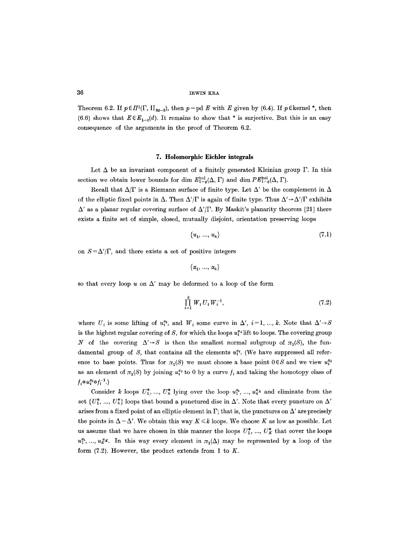### 36 mwin kra

Theorem 6.2. If  $p \in H^1(\Gamma, \Pi_{2q-2})$ , then  $p = pd \mathbf{E}$  with  $E$  given by (6.4). If  $p \in \text{kernel}^*$ , then (6.6) shows that  $E \in E_{1-q}(d)$ . It remains to show that \* is surjective. But this is an easy consequence of the arguments in the proof of Theorem 6.2.

#### **7. Holomorphic Eichler integrals**

Let  $\Delta$  be an invariant component of a finitely generated Kleinian group  $\Gamma$ . In this section we obtain lower bounds for dim  $E_{1-a}^{\text{hol}}(\Delta, \Gamma)$  and dim  $PE_{1-a}^{\text{hol}}(\Delta, \Gamma)$ .

Recall that  $\Delta/\Gamma$  is a Riemann surface of finite type. Let  $\Delta'$  be the complement in  $\Delta$ of the elliptic fixed points in  $\Delta$ . Then  $\Delta'/\Gamma$  is again of finite type. Thus  $\Delta' \rightarrow \Delta'/\Gamma$  exhibits  $\Delta'$  as a planar regular covering surface of  $\Delta'/\Gamma$ . By Maskit's planarity theorem [21] there exists a finite set of simple, closed, mutually disjoint, orientation preserving loops

$$
\{u_1, \ldots, u_k\} \tag{7.1}
$$

on  $S = \Delta'/\Gamma$ , and there exists a set of positive integers

$$
\{\alpha_1, \ldots, \alpha_k\}
$$

so that every loop u on  $\Delta'$  may be deformed to a loop of the form

$$
\prod_{i=1}^{k} W_i U_i W_i^{-1}, \tag{7.2}
$$

where  $U_i$  is some lifting of  $u_i^{z_i}$ , and  $W_i$  some curve in  $\Delta'$ ,  $i=1, ..., k$ . Note that  $\Delta' \rightarrow S$ is the highest regular covering of S, for which the loops  $u^*$  lift to loops. The covering group N of the covering  $\Delta' \rightarrow S$  is then the smallest normal subgroup of  $\pi_1(S)$ , the fundamental group of S, that contains all the elements  $u_t^{a}$ . (We have suppressed all reference to base points. Thus for  $\pi_1(S)$  we must choose a base point  $0 \in S$  and we view  $u_i^{a_i}$ as an element of  $\pi_1(S)$  by joining  $u^{u}_{i}$  to 0 by a curve  $f_i$  and taking the homotopy class of  $f_i \circ u_i^{\alpha_i} \circ f_i^{-1}$ .)

Consider k loops  $U_1^*$ , ...,  $U_k^*$  lying over the loop  $u_1^{a_1}, \ldots, u_k^{a_k}$  and eliminate from the set  $\{U^*_1, ..., U^*_k\}$  loops that bound a punctured disc in  $\Delta'$ . Note that every puncture on  $\Delta'$ arises from a fixed point of an elliptic element in  $\Gamma$ ; that is, the punctures on  $\Delta'$  are precisely the points in  $\Delta - \Delta'$ . We obtain this way  $K \leq k$  loops. We choose K as low as possible. Let us assume that we have chosen in this manner the loops  $U_1^*, ..., U_K^*$  that cover the loops  $u_1^{a_1},...,u_k^{a_k}$ . In this way every element in  $\pi_1(\Delta)$  may be represented by a loop of the form  $(7.2)$ . However, the product extends from 1 to K.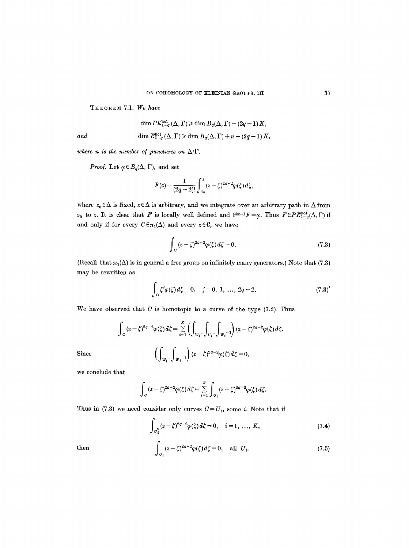THEOREM 7.1. *We have* 

$$
\dim PE_{1-q}^{\rm hol}\left(\Delta,\Gamma\right)\geqslant \dim B_q(\Delta,\Gamma)-(2q-1)\,K,
$$
  
and  

$$
\dim E_{1-q}^{\rm hol}\left(\Delta,\Gamma\right)\geqslant \dim B_q(\Delta,\Gamma)+n-(2q-1)\,K,
$$

*where n is the number of punctures on*  $\Delta/\Gamma$ .

*Proof.* Let  $\varphi \in B_{q}(\Delta, \Gamma)$ , and set

$$
F(z)=\frac{1}{(2q-2)!}\int_{z_0}^z(z-\zeta)^{2q-2}\varphi(\zeta)\,d\zeta,
$$

where  $z_0 \in \Delta$  is fixed,  $z \in \Delta$  is arbitrary, and we integrate over an arbitrary path in  $\Delta$  from  $z_0$  to z. It is clear that F is locally well defined and  $\partial^{2q-1}F=\varphi$ . Thus  $F\in PE_{1-q}^{hol}(\Delta, \Gamma)$  if and only if for every  $C \in \pi_1(\Delta)$  and every  $z \in \mathbb{C}$ , we have

$$
\int_C (z-\zeta)^{2a-2} \varphi(\zeta) d\zeta = 0.
$$
\n(7.3)

(Recall that  $\pi_1(\Delta)$  is in general a free group on infinitely many generators.) Note that (7.3) may be rewritten as

$$
\int_{C} \zeta^{j} \varphi(\zeta) d\zeta = 0, \quad j = 0, 1, ..., 2q - 2.
$$
 (7.3)

We have observed that  $C$  is homotopic to a curve of the type  $(7.2)$ . Thus

$$
\int_C (z-\zeta)^{2q-2} \varphi(\zeta) d\zeta = \sum_{i=1}^K \left( \int_{W_i^+} \int_{U_i^+} \int_{W_i^-1} \right) (z-\zeta)^{2q-2} \varphi(\zeta) d\zeta.
$$

$$
\left( \int_{W_i^+} \int_{W_i^-1} \right) (z-\zeta)^{2q-2} \varphi(\zeta) d\zeta = 0,
$$

Since

we conclude that

$$
\int_C (z-\zeta)^{2q-2} \varphi(\zeta) d\zeta = \sum_{i=1}^K \int_{U_i} (z-\zeta)^{2q-2} \varphi(\zeta) d\zeta.
$$

Thus in (7.3) we need consider only curves  $C=U_i$ , some *i*. Note that if

$$
\int_{\sigma_i^*} (z - \zeta)^{2q-2} \varphi(\zeta) d\zeta = 0, \quad i = 1, \dots, K,
$$
\n(7.4)

then 
$$
\int_{U_i} (z-\zeta)^{2q-2} \varphi(\zeta) d\zeta = 0, \text{ all } U_i.
$$
 (7.5)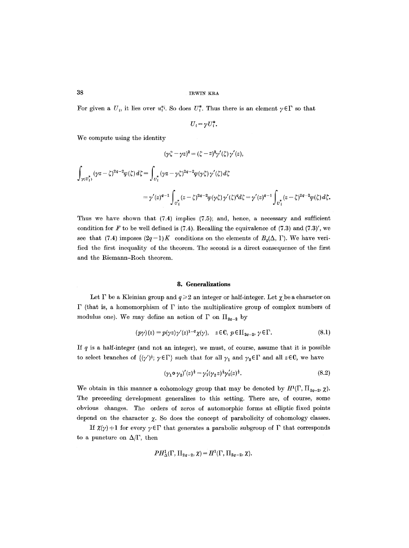For given a  $U_i$ , it lies over  $u_i^{*i}$ . So does  $U_i^*$ . Thus there is an element  $\gamma \in \Gamma$  so that

$$
U_i = \gamma U_i^*.
$$

We compute using the identity

$$
(\gamma \zeta - \gamma z)^2 = (\zeta - z)^2 \gamma'(\zeta) \gamma'(z),
$$

$$
\int_{\gamma(U_{i}^{*})} (\gamma z - \zeta)^{2q-2} \varphi(\zeta) d\zeta = \int_{U_{i}^{*}} (\gamma z - \gamma \zeta)^{2q-2} \varphi(\gamma \zeta) \gamma'(\zeta) d\zeta
$$
\n
$$
= \gamma'(z)^{q-1} \int_{U_{i}^{*}} (z - \zeta)^{2q-2} \varphi(\gamma \zeta) \gamma'(\zeta)^{q} d\zeta = \gamma'(z)^{q-1} \int_{U_{i}^{*}} (z - \zeta)^{2q-2} \varphi(\zeta) d\zeta.
$$

Thus we have shown that  $(7.4)$  implies  $(7.5)$ ; and, hence, a necessary and sufficient condition for  $F$  to be well defined is (7.4). Recalling the equivalence of (7.3) and (7.3)', we see that (7.4) imposes  $(2q-1)K$  conditions on the elements of  $B_q(\Delta, \Gamma)$ . We have verified the first inequality of the theorem. The second is a direct consequence of the first and the Ricmann-Roch theorem.

### **8. Generalizations**

Let  $\Gamma$  be a Kleinian group and  $q \geq 2$  an integer or half-integer. Let  $\chi$  be a character on  $\Gamma$  (that is, a homomorphism of  $\Gamma$  into the multiplicative group of complex numbers of modulus one). We may define an action of  $\Gamma$  on  $\Pi_{2q-2}$  by

$$
(p\gamma)(z) = p(\gamma z)\gamma'(z)^{1-q}\chi(\gamma), \quad z \in \mathbb{C}, \ p \in \Pi_{2q-2}, \ \gamma \in \Gamma.
$$
 (8.1)

If  $q$  is a half-integer (and not an integer), we must, of course, assume that it is possible to select branches of  $\{\langle \gamma' \rangle^{\sharp}; \gamma \in \Gamma \}$  such that for all  $\gamma_1$  and  $\gamma_2 \in \Gamma$  and all  $z \in \mathbb{C}$ , we have

$$
(\gamma_1 \circ \gamma_2)'(z)^{\frac{1}{2}} = \gamma_1'(\gamma_2 z)^{\frac{1}{2}} \gamma_2'(z)^{\frac{1}{2}}.
$$
\n
$$
(8.2)
$$

We obtain in this manner a cohomology group that may be denoted by  $H^1(\Gamma, \Pi_{2q-2}, \chi)$ . The preceeding development generalizes to this setting. There are, of course, some obvious changes. The orders of zeros of automorphie forms at elliptic fixed points depend on the character  $\chi$ . So does the concept of parabolicity of cohomology classes.

If  $\chi(\gamma) \neq 1$  for every  $\gamma \in \Gamma$  that generates a parabolic subgroup of  $\Gamma$  that corresponds to a puncture on  $\Delta/\Gamma$ , then

$$
PH_{\Delta}^1(\Gamma, \Pi_{2q-2}, \chi) = H^1(\Gamma, \Pi_{2q-2}, \chi).
$$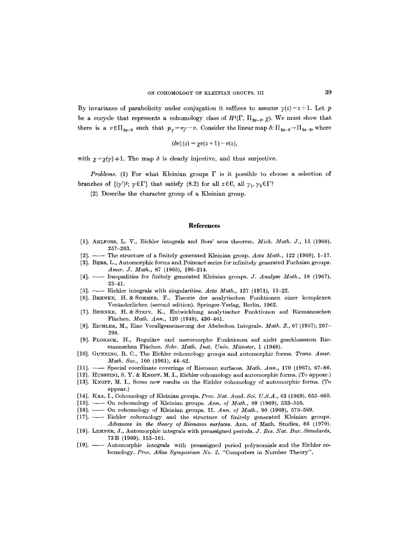By invariance of parabolicity under conjugation it suffices to assume  $y(z) = z + 1$ . Let p be a cocycle that represents a cohomology class of  $H^1(\Gamma, \Pi_{2q-2}, \chi)$ . We must show that there is a  $v \in \prod_{2q-2}$  such that  $p_{\gamma}=v\gamma-v$ . Consider the linear map  $\delta: \prod_{2q-2} \rightarrow \prod_{2q-2}$ , where

$$
(\delta v)(z) = \chi v(z+1) - v(z),
$$

with  $\gamma = \gamma(\gamma) + 1$ . The map  $\delta$  is clearly injective, and thus surjective.

*Problems.* (1) For what Kleinian groups  $\Gamma$  is it possible to choose a selection of branches of  $\{\psi'\}$ ;  $\gamma \in \Gamma$ } that satisfy (8.2) for all  $z \in \mathbb{C}$ , all  $\gamma_1, \gamma_2 \in \Gamma$ ?

(2) Describe the character group of a Kleinian group.

#### **References**

- [1]. AHLFORS, L. V., Eichler integrals and Bers' area theorem. *Mich. Math. J.*, 15 (1968), 257-263.
- [2]. -- The structure of a finitely generated Kleinian group. *Acta Math.,* 122 (1969), 1-17.
- [3]. BERS, L., Automorphic forms and Poinear6 series for infinitely generated Fuchsian groups. *Amer. J. Math.,* 87 (1965), 196-214.
- [4]. -- Inequalities for finitely generated Kleinian groups. *J. Analyse Math.*, 18 (1967), 23-41.
- [5]. Eichler integrals with singularities. *Acta Math.*, 127 (1971), 11-22.
- [6]. BEttNKE, H. & SOMMER, F., Theorie der analytischen Funktionen einer komplexen Veränderlichen (second edition). Springer-Verlag, Berlin, 1962.
- [7]. BEHNKE, H. & STEIN, K., Entwicklung analytischer Funktionen auf Riemannschen Flächen. *Math. Ann.*, 120 (1948), 430-461.
- [8]. ]~ICHLER, M., Eine Verallgemeinerung der Abelschen Integrale. *Math. Z.,* 67 (1957), 267- 298.
- [9]. FLORACK, H., Reguläre und meromorphe Funktionen auf nicht geschlossenen Riemannschen Flächen. Schr. Math. Inst. Univ. Münster, 1 (1948).
- [10]. GUNNING, 1%. C., The Eichler cohomology groups and automorphic forms. *Trans. Amer. Math. Soc.,* 100 (1961), 44-62.
- [11]. -- Special coordinate coverings of Riemann surfaces. *Math. Ann.*, 170 (1967), 67-86.
- [12]. HUSSEINI, S. Y. & KNOPP, M. I., Eichler cohomology and automorphic forms. (To appear.)
- [13]. KNoPP, M. I., Some new results on the Eichler cohomology of automorphie forms. (To appear.)
- [14]. KRA, I., Cohomology of Kleinian groups. *Proc. Nat. Acad. Sci. U.S.A.*, 63 (1969), 655-660.
- [15]. -- On cohomology of Kleinian groups. Ann. of Math., 89 (1969), 533-556.
- [16]. On cohomology of Kleinian groups. II. Ann. of Math., 90 (1969), 575-589.
- [17]. Eichler cohomology and the structure of finitely generated Kleinian groups. *Advances in the theory of Riemann surfaces. Ann. of Math. Studies, 66 (1970).*
- [18]. LEtINER, J., Automorphic integrals with preassigned periods. *J. Res. 2Vat. Bur. Standards,*  73B (1969), 153-161.
- [19]. -- Automorphic integrals with preassigned period polynomials and the Eichler cohomology. *Proc. Atlas Symposium No. 2,* "Computers in Number Theory".